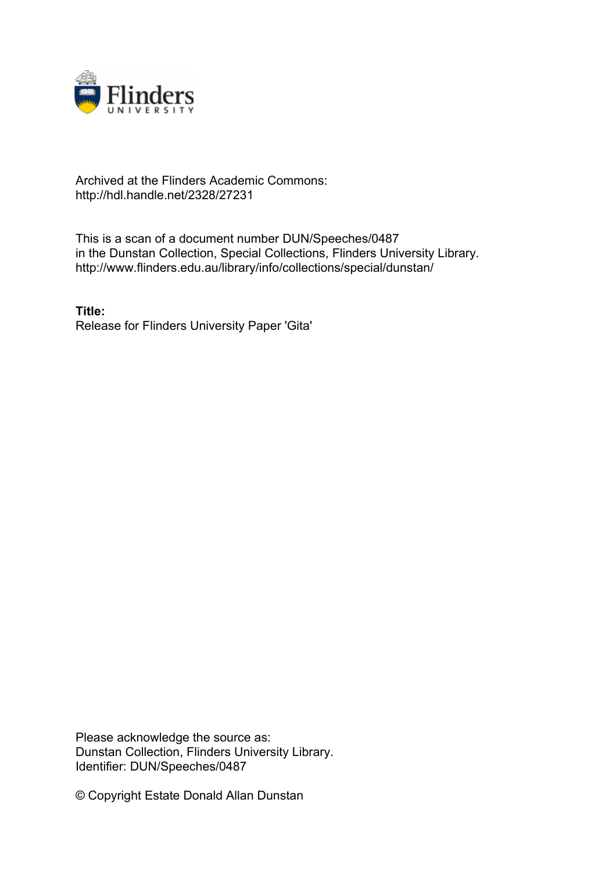

## Archived at the Flinders Academic Commons: http://hdl.handle.net/2328/27231

This is a scan of a document number DUN/Speeches/0487 in the Dunstan Collection, Special Collections, Flinders University Library. http://www.flinders.edu.au/library/info/collections/special/dunstan/

**Title:** Release for Flinders University Paper 'Gita'

Please acknowledge the source as: Dunstan Collection, Flinders University Library. Identifier: DUN/Speeches/0487

© Copyright Estate Donald Allan Dunstan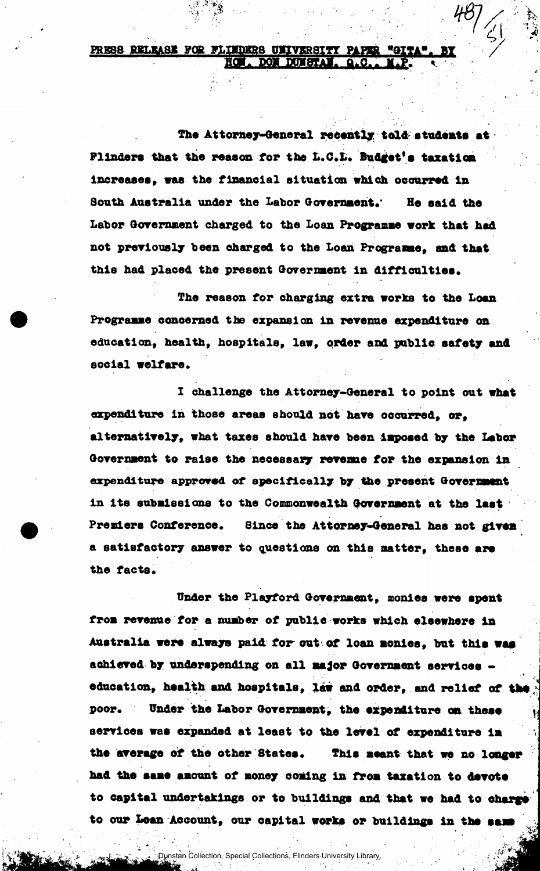## PRESS RELEASE FOR FLINDERS UNIVERSITY PAPER<br>ROM. DOM DUNSTAN. **Q.C.**

The Attorney-General recently tol&students at Flinders that the reason for the L.C.L. Budget's taxation increases, was the financial situation which occurred in South Australia under the Labor Government.' He said the Labor Government charged to the Loan Programme vork that had not previously been charged to the Loan Programe, and that this had placed the present Government in difficulties.

The reason for charging extra works to the Loan Programme concerned the expansion in revenue expenditure on education, health, hospitals, law, order and public safety and social welfare.

I challenge the Attorney-General to point out what expenditure in those areas should not have occurred, or, alternatively, what taxes should have been imposed by the Labor Government to raise the necessary revenue for the expansion in expenditure approved of specifically by the present Government in Its submisslone to the Commonwealth Government at the lest Premiers Conference. Since the Attorney-General has not given a satisfactory answer to questions on this matter, these are the facts.

Under the Playford Government, monies were spent from revenue for a number of public works which elsewhere in Australia were always paid for out of loan monies, but this was achieved by underspending on all major Government services education, health and hospitals, law and order, and relief of the poor. Under the Labor Government, the expenditure on these services was expanded at least to the level of expenditure lm the average of the other States. This meant that we no longer had the same amount of money coming in from taxation to devote to capital undertakings or to buildings and that we had to charge to our Lean Account, our capital works or buildings in the same

Dunstan Collection, Special Collections, Flinders University Library.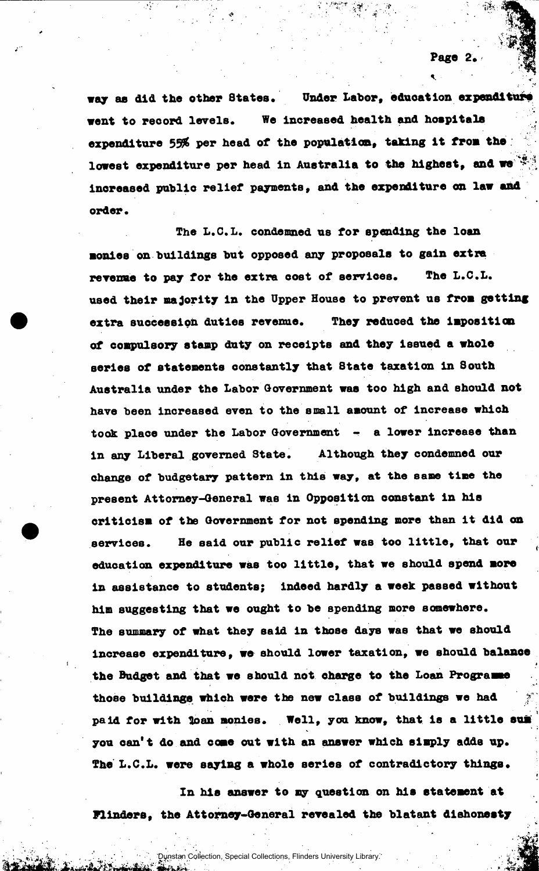Page 2.

way as did the other States. Under Labor, education expenditure vent to record levels. We increased health and hospitals expenditure 55% per head of the population, taking it from the lowest expenditure per head in Australia to the highest, and we  $\mathbb{R}$ increased public relief payments, and the expenditure on lav and order.

The L.C.L. condemned us for spending the loan monies on buildings but opposed any proposals to gain extra revenue to pay for the extra cost of services. The L.C.L. used their majority in the Upper House to prevent us from getting extra succession duties revenue. They reduoed the imposition of compulsory stamp duty on receipts and they issued a vhole series of statements constantly that 8tate taxation in South Australia under the Labor Government was too high and should not have been increased even to the small amount of Increase which took place under the Labor Government - a lower increase than in any Liberal governed State. Although they condemned our change of budgetary pattern in this way, at the same time the present Attorney-General was in Opposition constant in his criticism of the Government for not spending more than it did on services. He said our public relief was too little, that our education expenditure was too little, that we should spend more in assistance to students; indeed hardly a week passed without him suggesting that we ought to be spending more somewhere. The summary of what they said in those days was that we should increase expenditure, we should lower taxation, we should balance the Budget and that we should not charge to the Loan Programme those buildings which were the new class of buildings we had paid for with loan monies. Well, you know, that is a little sum you can't do and cone out with an answer which simply adds up. The L.C.L. were saylag a whole series of contradictory things.

In his answer to my question on his statement at Flinders, the Attorney-General revealed the blatant dishonesty

Dunstan Collection, Special Collections, Flinders University Library.